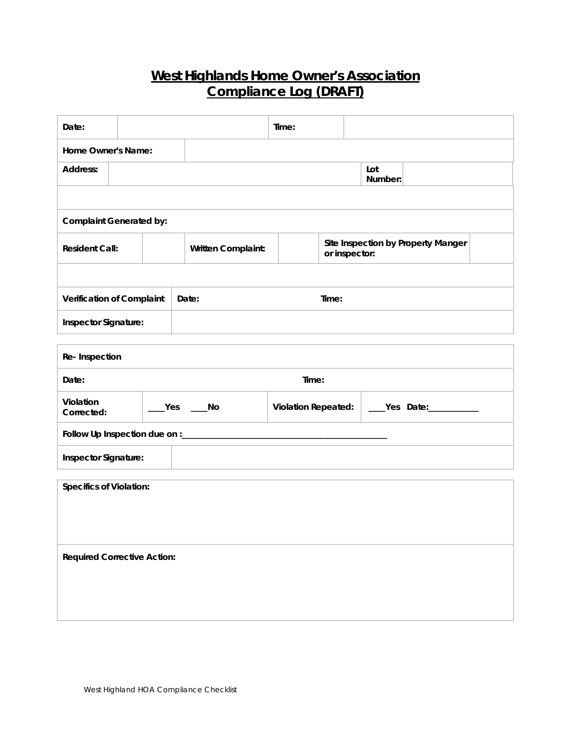## **West Highlands Home Owner's Association Compliance Log (DRAFT)**

| Date:                                    |  |                    | Time:                      |                                                     |  |  |  |
|------------------------------------------|--|--------------------|----------------------------|-----------------------------------------------------|--|--|--|
| Home Owner's Name:                       |  |                    |                            |                                                     |  |  |  |
| Address:                                 |  |                    |                            | Lot<br>Number:                                      |  |  |  |
|                                          |  |                    |                            |                                                     |  |  |  |
| <b>Complaint Generated by:</b>           |  |                    |                            |                                                     |  |  |  |
| <b>Resident Call:</b>                    |  | Written Complaint: |                            | Site Inspection by Property Manger<br>or inspector: |  |  |  |
|                                          |  |                    |                            |                                                     |  |  |  |
| Verification of Complaint                |  | Date:              | Time:                      |                                                     |  |  |  |
| Inspector Signature:                     |  |                    |                            |                                                     |  |  |  |
| Re-Inspection                            |  |                    |                            |                                                     |  |  |  |
| Time:<br>Date:                           |  |                    |                            |                                                     |  |  |  |
| Violation<br>Yes<br>Corrected:           |  | $\sqrt{a}$ No      | <b>Violation Repeated:</b> | _____Yes Date:__________                            |  |  |  |
| Follow Up Inspection due on :___________ |  |                    |                            |                                                     |  |  |  |
| Inspector Signature:                     |  |                    |                            |                                                     |  |  |  |
| <b>Specifics of Violation:</b>           |  |                    |                            |                                                     |  |  |  |
|                                          |  |                    |                            |                                                     |  |  |  |
|                                          |  |                    |                            |                                                     |  |  |  |
| <b>Required Corrective Action:</b>       |  |                    |                            |                                                     |  |  |  |
|                                          |  |                    |                            |                                                     |  |  |  |
|                                          |  |                    |                            |                                                     |  |  |  |
|                                          |  |                    |                            |                                                     |  |  |  |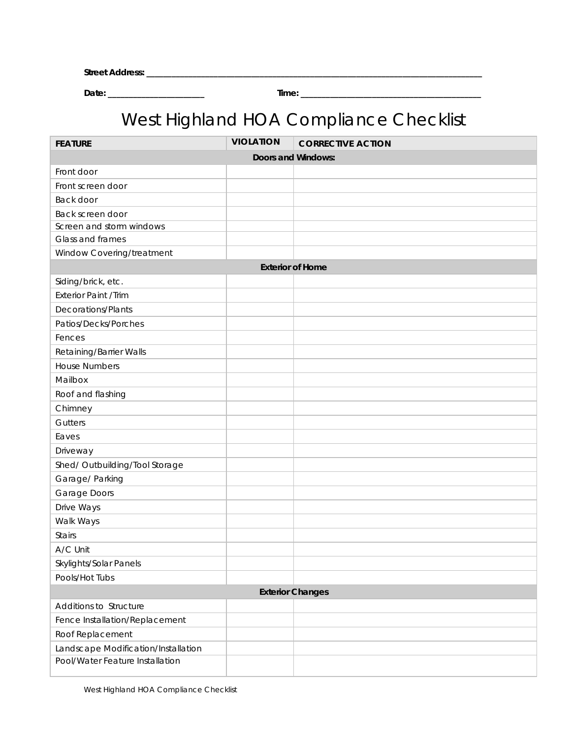| <b>Stre</b><br>.<br>___ |  |
|-------------------------|--|
|                         |  |

**Date: \_\_\_\_\_\_\_\_\_\_\_\_\_\_\_\_\_\_\_\_\_\_\_ Time: \_\_\_\_\_\_\_\_\_\_\_\_\_\_\_\_\_\_\_\_\_\_\_\_\_\_\_\_\_\_\_\_\_\_\_\_\_\_\_\_\_\_\_** 

## West Highland HOA Compliance Checklist

| <b>FEATURE</b>                      | <b>VIOLATION</b> | <b>CORRECTIVE ACTION</b> |  |  |  |  |
|-------------------------------------|------------------|--------------------------|--|--|--|--|
| Doors and Windows:                  |                  |                          |  |  |  |  |
| Front door                          |                  |                          |  |  |  |  |
| Front screen door                   |                  |                          |  |  |  |  |
| Back door                           |                  |                          |  |  |  |  |
| Back screen door                    |                  |                          |  |  |  |  |
| Screen and storm windows            |                  |                          |  |  |  |  |
| Glass and frames                    |                  |                          |  |  |  |  |
| Window Covering/treatment           |                  |                          |  |  |  |  |
| <b>Exterior of Home</b>             |                  |                          |  |  |  |  |
| Siding/brick, etc.                  |                  |                          |  |  |  |  |
| Exterior Paint /Trim                |                  |                          |  |  |  |  |
| Decorations/Plants                  |                  |                          |  |  |  |  |
| Patios/Decks/Porches                |                  |                          |  |  |  |  |
| Fences                              |                  |                          |  |  |  |  |
| Retaining/Barrier Walls             |                  |                          |  |  |  |  |
| <b>House Numbers</b>                |                  |                          |  |  |  |  |
| Mailbox                             |                  |                          |  |  |  |  |
| Roof and flashing                   |                  |                          |  |  |  |  |
| Chimney                             |                  |                          |  |  |  |  |
| Gutters                             |                  |                          |  |  |  |  |
| Eaves                               |                  |                          |  |  |  |  |
| Driveway                            |                  |                          |  |  |  |  |
| Shed/ Outbuilding/Tool Storage      |                  |                          |  |  |  |  |
| Garage/ Parking                     |                  |                          |  |  |  |  |
| Garage Doors                        |                  |                          |  |  |  |  |
| Drive Ways                          |                  |                          |  |  |  |  |
| Walk Ways                           |                  |                          |  |  |  |  |
| <b>Stairs</b>                       |                  |                          |  |  |  |  |
| A/C Unit                            |                  |                          |  |  |  |  |
| Skylights/Solar Panels              |                  |                          |  |  |  |  |
| Pools/Hot Tubs                      |                  |                          |  |  |  |  |
| <b>Exterior Changes</b>             |                  |                          |  |  |  |  |
| Additions to Structure              |                  |                          |  |  |  |  |
| Fence Installation/Replacement      |                  |                          |  |  |  |  |
| Roof Replacement                    |                  |                          |  |  |  |  |
| Landscape Modification/Installation |                  |                          |  |  |  |  |
| Pool/Water Feature Installation     |                  |                          |  |  |  |  |
|                                     |                  |                          |  |  |  |  |